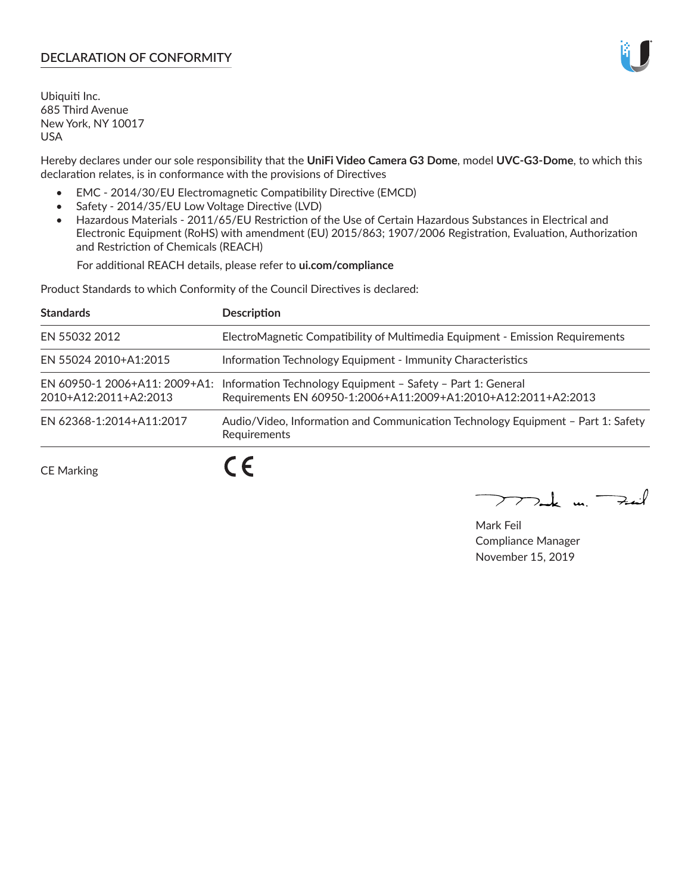# **DECLARATION OF CONFORMITY**

Ubiquiti Inc. 685 Third Avenue New York, NY 10017 USA

Hereby declares under our sole responsibility that the **UniFi Video Camera G3 Dome**, model **UVC-G3-Dome**, to which this declaration relates, is in conformance with the provisions of Directives

- EMC 2014/30/EU Electromagnetic Compatibility Directive (EMCD)
- Safety 2014/35/EU Low Voltage Directive (LVD)
- Hazardous Materials 2011/65/EU Restriction of the Use of Certain Hazardous Substances in Electrical and Electronic Equipment (RoHS) with amendment (EU) 2015/863; 1907/2006 Registration, Evaluation, Authorization and Restriction of Chemicals (REACH)

For additional REACH details, please refer to **ui.com/compliance**

Product Standards to which Conformity of the Council Directives is declared:

| <b>Standards</b>         | <b>Description</b>                                                                                                                                          |
|--------------------------|-------------------------------------------------------------------------------------------------------------------------------------------------------------|
| EN 55032 2012            | ElectroMagnetic Compatibility of Multimedia Equipment - Emission Requirements                                                                               |
| EN 55024 2010+A1:2015    | Information Technology Equipment - Immunity Characteristics                                                                                                 |
| 2010+A12:2011+A2:2013    | EN 60950-1 2006+A11: 2009+A1: Information Technology Equipment - Safety - Part 1: General<br>Requirements EN 60950-1:2006+A11:2009+A1:2010+A12:2011+A2:2013 |
| EN 62368-1:2014+A11:2017 | Audio/Video, Information and Communication Technology Equipment - Part 1: Safety<br>Requirements                                                            |
| <b>CE Marking</b>        |                                                                                                                                                             |

 $\sum_{n,k}$  in  $\Rightarrow$  $\overline{\phantom{1}}$ 

Mark Feil Compliance Manager November 15, 2019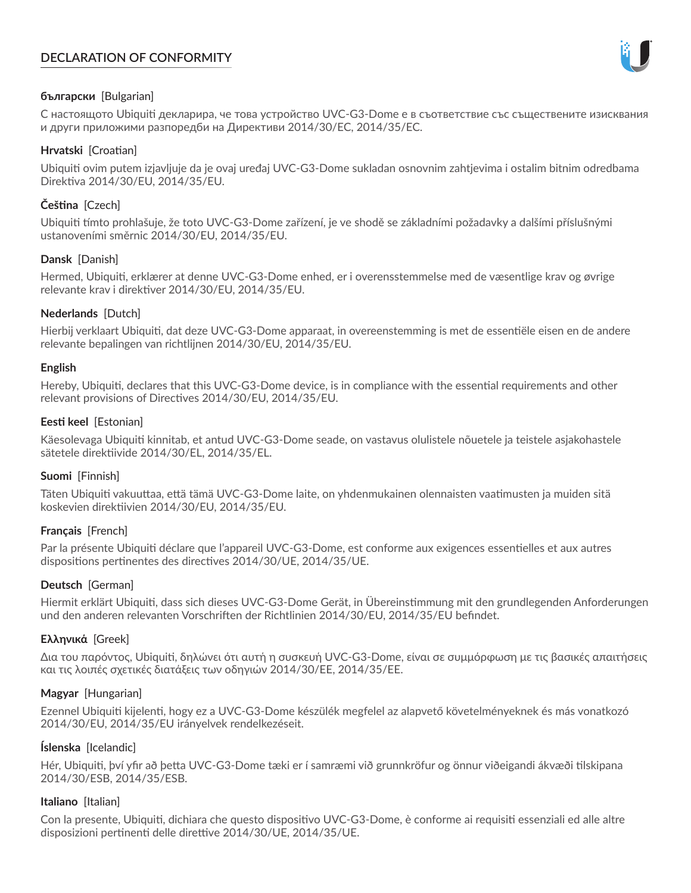# **DECLARATION OF CONFORMITY**



### **български** [Bulgarian]

С настоящото Ubiquiti декларира, че това устройство UVC-G3-Dome е в съответствие със съществените изисквания и други приложими разпоредби на Директиви 2014/30/ЕС, 2014/35/ЕС.

### **Hrvatski** [Croatian]

Ubiquiti ovim putem izjavljuje da je ovaj uređaj UVC-G3-Dome sukladan osnovnim zahtjevima i ostalim bitnim odredbama Direktiva 2014/30/EU, 2014/35/EU.

# **Čeština** [Czech]

Ubiquiti tímto prohlašuje, že toto UVC-G3-Dome zařízení, je ve shodě se základními požadavky a dalšími příslušnými ustanoveními směrnic 2014/30/EU, 2014/35/EU.

## **Dansk** [Danish]

Hermed, Ubiquiti, erklærer at denne UVC-G3-Dome enhed, er i overensstemmelse med de væsentlige krav og øvrige relevante krav i direktiver 2014/30/EU, 2014/35/EU.

## **Nederlands** [Dutch]

Hierbij verklaart Ubiquiti, dat deze UVC-G3-Dome apparaat, in overeenstemming is met de essentiële eisen en de andere relevante bepalingen van richtlijnen 2014/30/EU, 2014/35/EU.

#### **English**

Hereby, Ubiquiti, declares that this UVC-G3-Dome device, is in compliance with the essential requirements and other relevant provisions of Directives 2014/30/EU, 2014/35/EU.

## **Eesti keel** [Estonian]

Käesolevaga Ubiquiti kinnitab, et antud UVC-G3-Dome seade, on vastavus olulistele nõuetele ja teistele asjakohastele sätetele direktiivide 2014/30/EL, 2014/35/EL.

#### **Suomi** [Finnish]

Täten Ubiquiti vakuuttaa, että tämä UVC-G3-Dome laite, on yhdenmukainen olennaisten vaatimusten ja muiden sitä koskevien direktiivien 2014/30/EU, 2014/35/EU.

#### **Français** [French]

Par la présente Ubiquiti déclare que l'appareil UVC-G3-Dome, est conforme aux exigences essentielles et aux autres dispositions pertinentes des directives 2014/30/UE, 2014/35/UE.

#### **Deutsch** [German]

Hiermit erklärt Ubiquiti, dass sich dieses UVC-G3-Dome Gerät, in Übereinstimmung mit den grundlegenden Anforderungen und den anderen relevanten Vorschriften der Richtlinien 2014/30/EU, 2014/35/EU befindet.

#### **Ελληνικά** [Greek]

Δια του παρόντος, Ubiquiti, δηλώνει ότι αυτή η συσκευή UVC-G3-Dome, είναι σε συμμόρφωση με τις βασικές απαιτήσεις και τις λοιπές σχετικές διατάξεις των οδηγιών 2014/30/EE, 2014/35/EE.

#### **Magyar** [Hungarian]

Ezennel Ubiquiti kijelenti, hogy ez a UVC-G3-Dome készülék megfelel az alapvető követelményeknek és más vonatkozó 2014/30/EU, 2014/35/EU irányelvek rendelkezéseit.

#### **Íslenska** [Icelandic]

Hér, Ubiquiti, því yfir að þetta UVC-G3-Dome tæki er í samræmi við grunnkröfur og önnur viðeigandi ákvæði tilskipana 2014/30/ESB, 2014/35/ESB.

#### **Italiano** [Italian]

Con la presente, Ubiquiti, dichiara che questo dispositivo UVC-G3-Dome, è conforme ai requisiti essenziali ed alle altre disposizioni pertinenti delle direttive 2014/30/UE, 2014/35/UE.